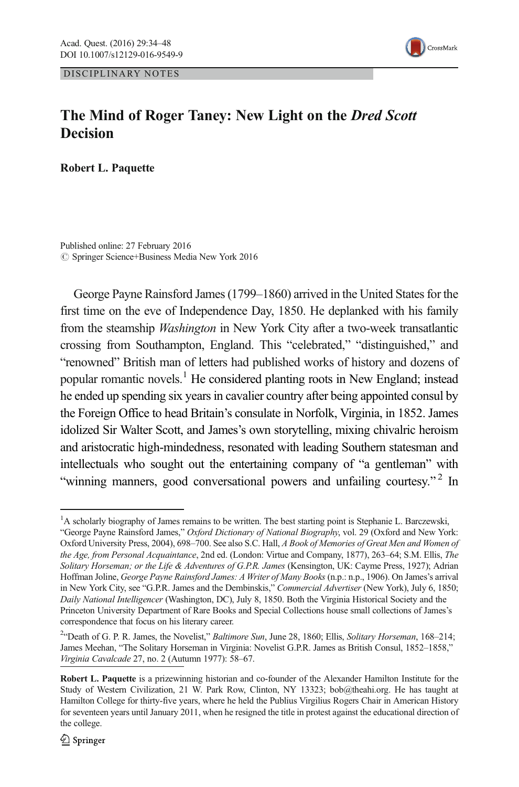DISCIPLINARY NOTES



# The Mind of Roger Taney: New Light on the Dred Scott **Decision**

Robert L. Paquette

Published online: 27 February 2016  $\oslash$  Springer Science+Business Media New York 2016

George Payne Rainsford James (1799–1860) arrived in the United States for the first time on the eve of Independence Day, 1850. He deplanked with his family from the steamship Washington in New York City after a two-week transatlantic crossing from Southampton, England. This "celebrated," "distinguished," and "renowned" British man of letters had published works of history and dozens of popular romantic novels.<sup>1</sup> He considered planting roots in New England; instead he ended up spending six years in cavalier country after being appointed consul by the Foreign Office to head Britain's consulate in Norfolk, Virginia, in 1852. James idolized Sir Walter Scott, and James's own storytelling, mixing chivalric heroism and aristocratic high-mindedness, resonated with leading Southern statesman and intellectuals who sought out the entertaining company of "a gentleman" with "winning manners, good conversational powers and unfailing courtesy."  $2 \text{ In }$ 

<sup>&</sup>lt;sup>1</sup>A scholarly biography of James remains to be written. The best starting point is Stephanie L. Barczewski,

<sup>&</sup>quot;George Payne Rainsford James," Oxford Dictionary of National Biography, vol. 29 (Oxford and New York: Oxford University Press, 2004), 698–700. See also S.C. Hall, A Book of Memories of Great Men and Women of the Age, from Personal Acquaintance, 2nd ed. (London: Virtue and Company, 1877), 263-64; S.M. Ellis, The Solitary Horseman; or the Life & Adventures of G.P.R. James (Kensington, UK: Cayme Press, 1927); Adrian Hoffman Joline, George Payne Rainsford James: A Writer of Many Books (n.p.: n.p., 1906). On James's arrival in New York City, see "G.P.R. James and the Dembinskis," Commercial Advertiser (New York), July 6, 1850; Daily National Intelligencer (Washington, DC), July 8, 1850. Both the Virginia Historical Society and the Princeton University Department of Rare Books and Special Collections house small collections of James's correspondence that focus on his literary career.

<sup>&</sup>lt;sup>2</sup>"Death of G. P. R. James, the Novelist," Baltimore Sun, June 28, 1860; Ellis, Solitary Horseman, 168-214; James Meehan, "The Solitary Horseman in Virginia: Novelist G.P.R. James as British Consul, 1852–1858," Virginia Cavalcade 27, no. 2 (Autumn 1977): 58–67.

Robert L. Paquette is a prizewinning historian and co-founder of the Alexander Hamilton Institute for the Study of Western Civilization, 21 W. Park Row, Clinton, NY 13323; bob@theahi.org. He has taught at Hamilton College for thirty-five years, where he held the Publius Virgilius Rogers Chair in American History for seventeen years until January 2011, when he resigned the title in protest against the educational direction of the college.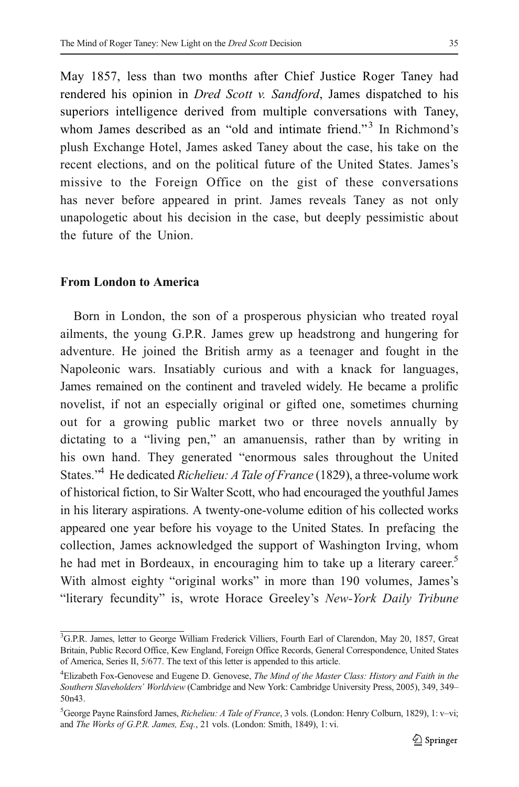May 1857, less than two months after Chief Justice Roger Taney had rendered his opinion in *Dred Scott v. Sandford*, James dispatched to his superiors intelligence derived from multiple conversations with Taney, whom James described as an "old and intimate friend."<sup>3</sup> In Richmond's plush Exchange Hotel, James asked Taney about the case, his take on the recent elections, and on the political future of the United States. James's missive to the Foreign Office on the gist of these conversations has never before appeared in print. James reveals Taney as not only unapologetic about his decision in the case, but deeply pessimistic about the future of the Union.

## From London to America

Born in London, the son of a prosperous physician who treated royal ailments, the young G.P.R. James grew up headstrong and hungering for adventure. He joined the British army as a teenager and fought in the Napoleonic wars. Insatiably curious and with a knack for languages, James remained on the continent and traveled widely. He became a prolific novelist, if not an especially original or gifted one, sometimes churning out for a growing public market two or three novels annually by dictating to a "living pen," an amanuensis, rather than by writing in his own hand. They generated "enormous sales throughout the United States."<sup>4</sup> He dedicated Richelieu: A Tale of France (1829), a three-volume work of historical fiction, to Sir Walter Scott, who had encouraged the youthful James in his literary aspirations. A twenty-one-volume edition of his collected works appeared one year before his voyage to the United States. In prefacing the collection, James acknowledged the support of Washington Irving, whom he had met in Bordeaux, in encouraging him to take up a literary career.<sup>5</sup> With almost eighty "original works" in more than 190 volumes, James's "literary fecundity" is, wrote Horace Greeley's New-York Daily Tribune

<sup>&</sup>lt;sup>3</sup>G.P.R. James, letter to George William Frederick Villiers, Fourth Earl of Clarendon, May 20, 1857, Great Britain, Public Record Office, Kew England, Foreign Office Records, General Correspondence, United States of America, Series II, 5/677. The text of this letter is appended to this article.

<sup>&</sup>lt;sup>4</sup>Elizabeth Fox-Genovese and Eugene D. Genovese, The Mind of the Master Class: History and Faith in the Southern Slaveholders' Worldview (Cambridge and New York: Cambridge University Press, 2005), 349, 349– 50n43.

<sup>&</sup>lt;sup>5</sup>George Payne Rainsford James, Richelieu: A Tale of France, 3 vols. (London: Henry Colburn, 1829), 1: v-vi; and The Works of G.P.R. James, Esq., 21 vols. (London: Smith, 1849), 1: vi.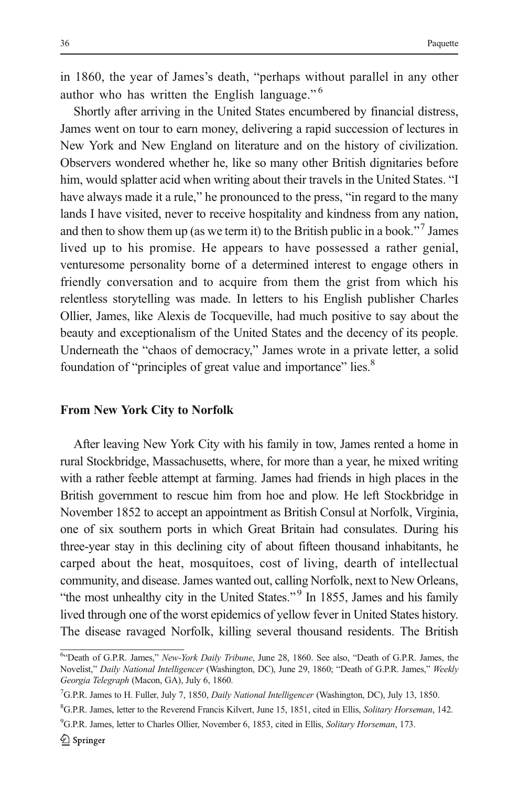in 1860, the year of James's death, "perhaps without parallel in any other author who has written the English language." <sup>6</sup>

Shortly after arriving in the United States encumbered by financial distress, James went on tour to earn money, delivering a rapid succession of lectures in New York and New England on literature and on the history of civilization. Observers wondered whether he, like so many other British dignitaries before him, would splatter acid when writing about their travels in the United States. "I have always made it a rule," he pronounced to the press, "in regard to the many lands I have visited, never to receive hospitality and kindness from any nation, and then to show them up (as we term it) to the British public in a book."<sup>7</sup> James lived up to his promise. He appears to have possessed a rather genial, venturesome personality borne of a determined interest to engage others in friendly conversation and to acquire from them the grist from which his relentless storytelling was made. In letters to his English publisher Charles Ollier, James, like Alexis de Tocqueville, had much positive to say about the beauty and exceptionalism of the United States and the decency of its people. Underneath the "chaos of democracy," James wrote in a private letter, a solid foundation of "principles of great value and importance" lies.<sup>8</sup>

### From New York City to Norfolk

After leaving New York City with his family in tow, James rented a home in rural Stockbridge, Massachusetts, where, for more than a year, he mixed writing with a rather feeble attempt at farming. James had friends in high places in the British government to rescue him from hoe and plow. He left Stockbridge in November 1852 to accept an appointment as British Consul at Norfolk, Virginia, one of six southern ports in which Great Britain had consulates. During his three-year stay in this declining city of about fifteen thousand inhabitants, he carped about the heat, mosquitoes, cost of living, dearth of intellectual community, and disease. James wanted out, calling Norfolk, next to New Orleans, "the most unhealthy city in the United States."<sup>9</sup> In 1855, James and his family lived through one of the worst epidemics of yellow fever in United States history. The disease ravaged Norfolk, killing several thousand residents. The British

<sup>&</sup>lt;sup>6</sup>"Death of G.P.R. James," New-York Daily Tribune, June 28, 1860. See also, "Death of G.P.R. James, the Novelist," Daily National Intelligencer (Washington, DC), June 29, 1860; "Death of G.P.R. James," Weekly Georgia Telegraph (Macon, GA), July 6, 1860.

<sup>&</sup>lt;sup>7</sup>G.P.R. James to H. Fuller, July 7, 1850, Daily National Intelligencer (Washington, DC), July 13, 1850.

<sup>&</sup>lt;sup>8</sup>G.P.R. James, letter to the Reverend Francis Kilvert, June 15, 1851, cited in Ellis, Solitary Horseman, 142.

<sup>&</sup>lt;sup>9</sup>G.P.R. James, letter to Charles Ollier, November 6, 1853, cited in Ellis, Solitary Horseman, 173.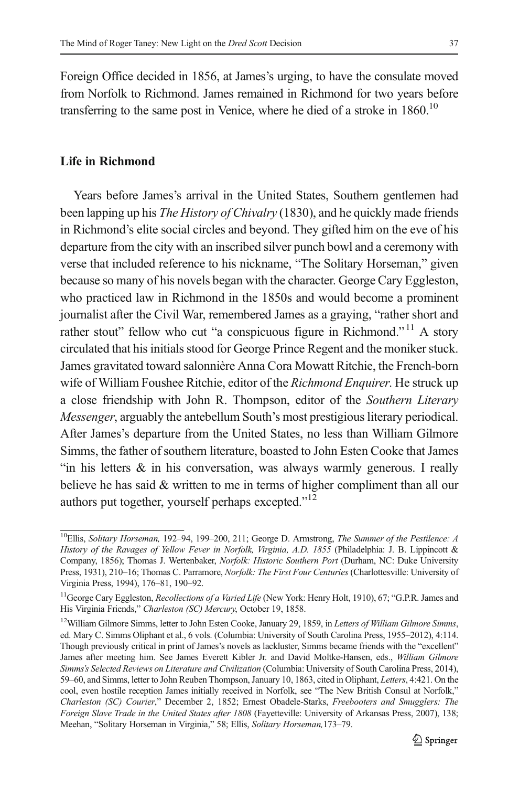Foreign Office decided in 1856, at James's urging, to have the consulate moved from Norfolk to Richmond. James remained in Richmond for two years before transferring to the same post in Venice, where he died of a stroke in  $1860$ .<sup>10</sup>

## Life in Richmond

Years before James's arrival in the United States, Southern gentlemen had been lapping up his *The History of Chivalry* (1830), and he quickly made friends in Richmond's elite social circles and beyond. They gifted him on the eve of his departure from the city with an inscribed silver punch bowl and a ceremony with verse that included reference to his nickname, "The Solitary Horseman," given because so many of his novels began with the character. George Cary Eggleston, who practiced law in Richmond in the 1850s and would become a prominent journalist after the Civil War, remembered James as a graying, "rather short and rather stout" fellow who cut "a conspicuous figure in Richmond."<sup>11</sup> A story circulated that his initials stood for George Prince Regent and the moniker stuck. James gravitated toward salonnière Anna Cora Mowatt Ritchie, the French-born wife of William Foushee Ritchie, editor of the Richmond Enquirer. He struck up a close friendship with John R. Thompson, editor of the Southern Literary Messenger, arguably the antebellum South's most prestigious literary periodical. After James's departure from the United States, no less than William Gilmore Simms, the father of southern literature, boasted to John Esten Cooke that James "in his letters & in his conversation, was always warmly generous. I really believe he has said & written to me in terms of higher compliment than all our authors put together, yourself perhaps excepted."<sup>12</sup>

<sup>&</sup>lt;sup>10</sup>Ellis, Solitary Horseman, 192-94, 199-200, 211; George D. Armstrong, The Summer of the Pestilence: A History of the Ravages of Yellow Fever in Norfolk, Virginia, A.D. 1855 (Philadelphia: J. B. Lippincott & Company, 1856); Thomas J. Wertenbaker, Norfolk: Historic Southern Port (Durham, NC: Duke University Press, 1931), 210–16; Thomas C. Parramore, *Norfolk: The First Four Centuries* (Charlottesville: University of Virginia Press, 1994), 176–81, 190–92.

<sup>&</sup>lt;sup>11</sup>George Cary Eggleston, Recollections of a Varied Life (New York: Henry Holt, 1910), 67; "G.P.R. James and His Virginia Friends," Charleston (SC) Mercury, October 19, 1858.

<sup>&</sup>lt;sup>12</sup>William Gilmore Simms, letter to John Esten Cooke, January 29, 1859, in Letters of William Gilmore Simms, ed. Mary C. Simms Oliphant et al., 6 vols. (Columbia: University of South Carolina Press, 1955–2012), 4:114. Though previously critical in print of James's novels as lackluster, Simms became friends with the "excellent" James after meeting him. See James Everett Kibler Jr. and David Moltke-Hansen, eds., William Gilmore Simms's Selected Reviews on Literature and Civilization (Columbia: University of South Carolina Press, 2014), 59–60, and Simms, letter to John Reuben Thompson, January 10, 1863, cited in Oliphant, Letters, 4:421. On the cool, even hostile reception James initially received in Norfolk, see "The New British Consul at Norfolk," Charleston (SC) Courier," December 2, 1852; Ernest Obadele-Starks, Freebooters and Smugglers: The Foreign Slave Trade in the United States after 1808 (Fayetteville: University of Arkansas Press, 2007), 138; Meehan, "Solitary Horseman in Virginia," 58; Ellis, Solitary Horseman,173–79.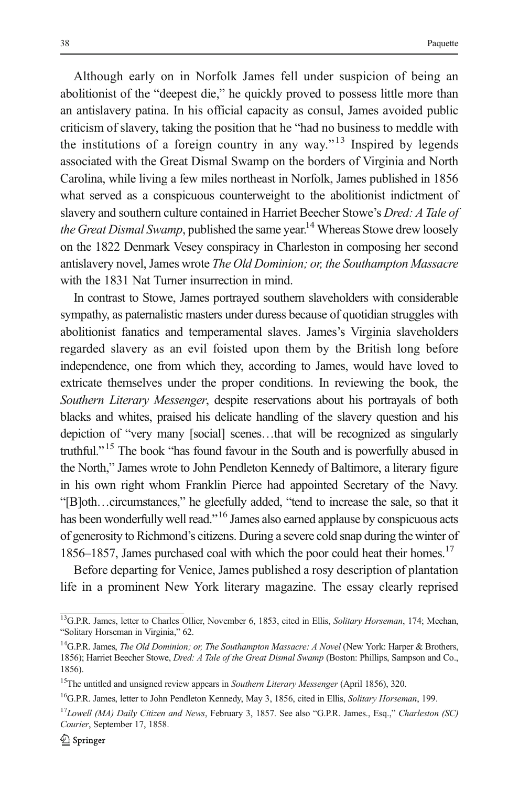Although early on in Norfolk James fell under suspicion of being an abolitionist of the "deepest die," he quickly proved to possess little more than an antislavery patina. In his official capacity as consul, James avoided public criticism of slavery, taking the position that he "had no business to meddle with the institutions of a foreign country in any way."<sup>13</sup> Inspired by legends associated with the Great Dismal Swamp on the borders of Virginia and North Carolina, while living a few miles northeast in Norfolk, James published in 1856 what served as a conspicuous counterweight to the abolitionist indictment of slavery and southern culture contained in Harriet Beecher Stowe's Dred: A Tale of the Great Dismal Swamp, published the same year.<sup>14</sup> Whereas Stowe drew loosely on the 1822 Denmark Vesey conspiracy in Charleston in composing her second antislavery novel, James wrote The Old Dominion; or, the Southampton Massacre with the 1831 Nat Turner insurrection in mind.

In contrast to Stowe, James portrayed southern slaveholders with considerable sympathy, as paternalistic masters under duress because of quotidian struggles with abolitionist fanatics and temperamental slaves. James's Virginia slaveholders regarded slavery as an evil foisted upon them by the British long before independence, one from which they, according to James, would have loved to extricate themselves under the proper conditions. In reviewing the book, the Southern Literary Messenger, despite reservations about his portrayals of both blacks and whites, praised his delicate handling of the slavery question and his depiction of "very many [social] scenes…that will be recognized as singularly truthful."<sup>15</sup> The book "has found favour in the South and is powerfully abused in the North," James wrote to John Pendleton Kennedy of Baltimore, a literary figure in his own right whom Franklin Pierce had appointed Secretary of the Navy. "[B]oth…circumstances," he gleefully added, "tend to increase the sale, so that it has been wonderfully well read."<sup>16</sup> James also earned applause by conspicuous acts of generosity to Richmond's citizens. During a severe cold snap during the winter of 1856–1857, James purchased coal with which the poor could heat their homes.<sup>17</sup>

Before departing for Venice, James published a rosy description of plantation life in a prominent New York literary magazine. The essay clearly reprised

<sup>&</sup>lt;sup>13</sup>G.P.R. James, letter to Charles Ollier, November 6, 1853, cited in Ellis, Solitary Horseman, 174; Meehan, "Solitary Horseman in Virginia," 62.

<sup>&</sup>lt;sup>14</sup>G.P.R. James, The Old Dominion; or, The Southampton Massacre: A Novel (New York: Harper & Brothers, 1856); Harriet Beecher Stowe, Dred: A Tale of the Great Dismal Swamp (Boston: Phillips, Sampson and Co., 1856).

<sup>&</sup>lt;sup>15</sup>The untitled and unsigned review appears in Southern Literary Messenger (April 1856), 320.

<sup>&</sup>lt;sup>16</sup>G.P.R. James, letter to John Pendleton Kennedy, May 3, 1856, cited in Ellis, Solitary Horseman, 199.

 $17$ Lowell (MA) Daily Citizen and News, February 3, 1857. See also "G.P.R. James., Esq.," Charleston (SC) Courier, September 17, 1858.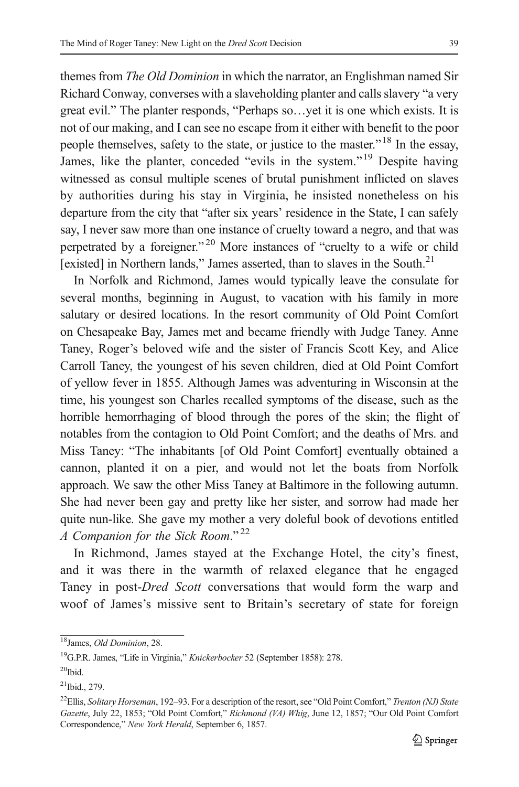themes from The Old Dominion in which the narrator, an Englishman named Sir Richard Conway, converses with a slaveholding planter and calls slavery "a very great evil." The planter responds, "Perhaps so…yet it is one which exists. It is not of our making, and I can see no escape from it either with benefit to the poor people themselves, safety to the state, or justice to the master."<sup>18</sup> In the essay, James, like the planter, conceded "evils in the system."<sup>19</sup> Despite having witnessed as consul multiple scenes of brutal punishment inflicted on slaves by authorities during his stay in Virginia, he insisted nonetheless on his departure from the city that "after six years' residence in the State, I can safely say, I never saw more than one instance of cruelty toward a negro, and that was perpetrated by a foreigner."<sup>20</sup> More instances of "cruelty to a wife or child [existed] in Northern lands," James asserted, than to slaves in the South.<sup>21</sup>

In Norfolk and Richmond, James would typically leave the consulate for several months, beginning in August, to vacation with his family in more salutary or desired locations. In the resort community of Old Point Comfort on Chesapeake Bay, James met and became friendly with Judge Taney. Anne Taney, Roger's beloved wife and the sister of Francis Scott Key, and Alice Carroll Taney, the youngest of his seven children, died at Old Point Comfort of yellow fever in 1855. Although James was adventuring in Wisconsin at the time, his youngest son Charles recalled symptoms of the disease, such as the horrible hemorrhaging of blood through the pores of the skin; the flight of notables from the contagion to Old Point Comfort; and the deaths of Mrs. and Miss Taney: "The inhabitants [of Old Point Comfort] eventually obtained a cannon, planted it on a pier, and would not let the boats from Norfolk approach. We saw the other Miss Taney at Baltimore in the following autumn. She had never been gay and pretty like her sister, and sorrow had made her quite nun-like. She gave my mother a very doleful book of devotions entitled A Companion for the Sick Room." <sup>22</sup>

In Richmond, James stayed at the Exchange Hotel, the city's finest, and it was there in the warmth of relaxed elegance that he engaged Taney in post-*Dred Scott* conversations that would form the warp and woof of James's missive sent to Britain's secretary of state for foreign

<sup>18</sup>James, Old Dominion, 28.

<sup>&</sup>lt;sup>19</sup>G.P.R. James, "Life in Virginia," Knickerbocker 52 (September 1858): 278.

 $^{20}$ Ibid.

 $^{21}$ Ibid., 279.

<sup>&</sup>lt;sup>22</sup>Ellis, Solitary Horseman, 192–93. For a description of the resort, see "Old Point Comfort," Trenton (NJ) State Gazette, July 22, 1853; "Old Point Comfort," Richmond (VA) Whig, June 12, 1857; "Our Old Point Comfort Correspondence," New York Herald, September 6, 1857.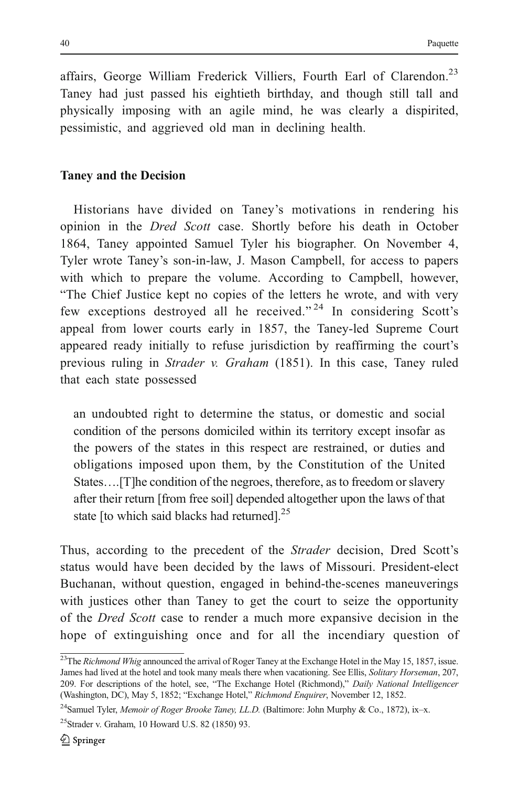affairs, George William Frederick Villiers, Fourth Earl of Clarendon.<sup>23</sup> Taney had just passed his eightieth birthday, and though still tall and physically imposing with an agile mind, he was clearly a dispirited, pessimistic, and aggrieved old man in declining health.

#### Taney and the Decision

Historians have divided on Taney's motivations in rendering his opinion in the Dred Scott case. Shortly before his death in October 1864, Taney appointed Samuel Tyler his biographer. On November 4, Tyler wrote Taney's son-in-law, J. Mason Campbell, for access to papers with which to prepare the volume. According to Campbell, however, "The Chief Justice kept no copies of the letters he wrote, and with very few exceptions destroyed all he received."<sup>24</sup> In considering Scott's appeal from lower courts early in 1857, the Taney-led Supreme Court appeared ready initially to refuse jurisdiction by reaffirming the court's previous ruling in Strader v. Graham (1851). In this case, Taney ruled that each state possessed

an undoubted right to determine the status, or domestic and social condition of the persons domiciled within its territory except insofar as the powers of the states in this respect are restrained, or duties and obligations imposed upon them, by the Constitution of the United States….[T]he condition of the negroes, therefore, as to freedom or slavery after their return [from free soil] depended altogether upon the laws of that state [to which said blacks had returned]. $^{25}$ 

Thus, according to the precedent of the *Strader* decision, Dred Scott's status would have been decided by the laws of Missouri. President-elect Buchanan, without question, engaged in behind-the-scenes maneuverings with justices other than Taney to get the court to seize the opportunity of the Dred Scott case to render a much more expansive decision in the hope of extinguishing once and for all the incendiary question of

<sup>&</sup>lt;sup>23</sup>The *Richmond Whig* announced the arrival of Roger Taney at the Exchange Hotel in the May 15, 1857, issue. James had lived at the hotel and took many meals there when vacationing. See Ellis, Solitary Horseman, 207, 209. For descriptions of the hotel, see, "The Exchange Hotel (Richmond)," Daily National Intelligencer (Washington, DC), May 5, 1852; "Exchange Hotel," Richmond Enquirer, November 12, 1852.

<sup>&</sup>lt;sup>24</sup>Samuel Tyler, Memoir of Roger Brooke Taney, LL.D. (Baltimore: John Murphy & Co., 1872), ix-x.

 $^{25}$ Strader v. Graham, 10 Howard U.S. 82 (1850) 93.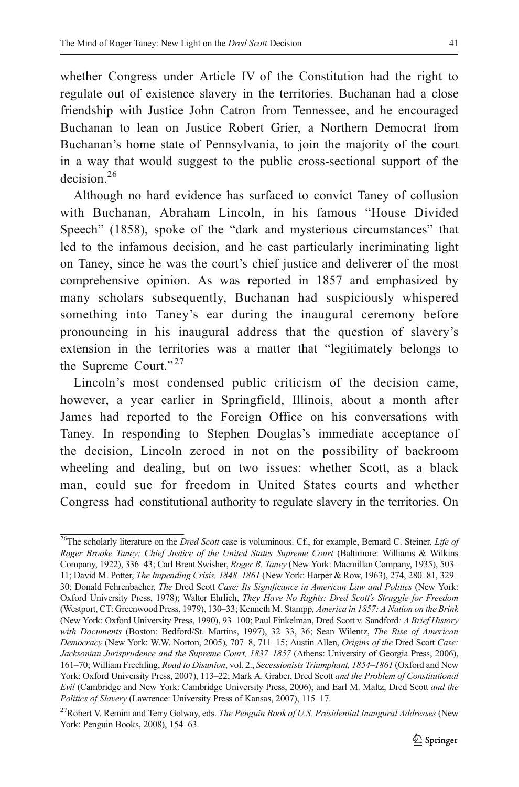whether Congress under Article IV of the Constitution had the right to regulate out of existence slavery in the territories. Buchanan had a close friendship with Justice John Catron from Tennessee, and he encouraged Buchanan to lean on Justice Robert Grier, a Northern Democrat from Buchanan's home state of Pennsylvania, to join the majority of the court in a way that would suggest to the public cross-sectional support of the decision<sup>26</sup>

Although no hard evidence has surfaced to convict Taney of collusion with Buchanan, Abraham Lincoln, in his famous "House Divided Speech" (1858), spoke of the "dark and mysterious circumstances" that led to the infamous decision, and he cast particularly incriminating light on Taney, since he was the court's chief justice and deliverer of the most comprehensive opinion. As was reported in 1857 and emphasized by many scholars subsequently, Buchanan had suspiciously whispered something into Taney's ear during the inaugural ceremony before pronouncing in his inaugural address that the question of slavery's extension in the territories was a matter that "legitimately belongs to the Supreme Court."<sup>27</sup>

Lincoln's most condensed public criticism of the decision came, however, a year earlier in Springfield, Illinois, about a month after James had reported to the Foreign Office on his conversations with Taney. In responding to Stephen Douglas's immediate acceptance of the decision, Lincoln zeroed in not on the possibility of backroom wheeling and dealing, but on two issues: whether Scott, as a black man, could sue for freedom in United States courts and whether Congress had constitutional authority to regulate slavery in the territories. On

<sup>&</sup>lt;sup>26</sup>The scholarly literature on the *Dred Scott* case is voluminous. Cf., for example, Bernard C. Steiner, Life of Roger Brooke Taney: Chief Justice of the United States Supreme Court (Baltimore: Williams & Wilkins Company, 1922), 336–43; Carl Brent Swisher, Roger B. Taney (New York: Macmillan Company, 1935), 503– 11; David M. Potter, The Impending Crisis, 1848–1861 (New York: Harper & Row, 1963), 274, 280–81, 329– 30; Donald Fehrenbacher, The Dred Scott Case: Its Significance in American Law and Politics (New York: Oxford University Press, 1978); Walter Ehrlich, They Have No Rights: Dred Scott's Struggle for Freedom (Westport, CT: Greenwood Press, 1979), 130–33; Kenneth M. Stampp, America in 1857: A Nation on the Brink (New York: Oxford University Press, 1990), 93–100; Paul Finkelman, Dred Scott v. Sandford: A Brief History with Documents (Boston: Bedford/St. Martins, 1997), 32-33, 36; Sean Wilentz, The Rise of American Democracy (New York: W.W. Norton, 2005), 707–8, 711–15; Austin Allen, Origins of the Dred Scott Case: Jacksonian Jurisprudence and the Supreme Court, 1837–1857 (Athens: University of Georgia Press, 2006), 161–70; William Freehling, Road to Disunion, vol. 2., Secessionists Triumphant, 1854–1861 (Oxford and New York: Oxford University Press, 2007), 113–22; Mark A. Graber, Dred Scott and the Problem of Constitutional Evil (Cambridge and New York: Cambridge University Press, 2006); and Earl M. Maltz, Dred Scott and the Politics of Slavery (Lawrence: University Press of Kansas, 2007), 115–17.

<sup>&</sup>lt;sup>27</sup>Robert V. Remini and Terry Golway, eds. The Penguin Book of U.S. Presidential Inaugural Addresses (New York: Penguin Books, 2008), 154–63.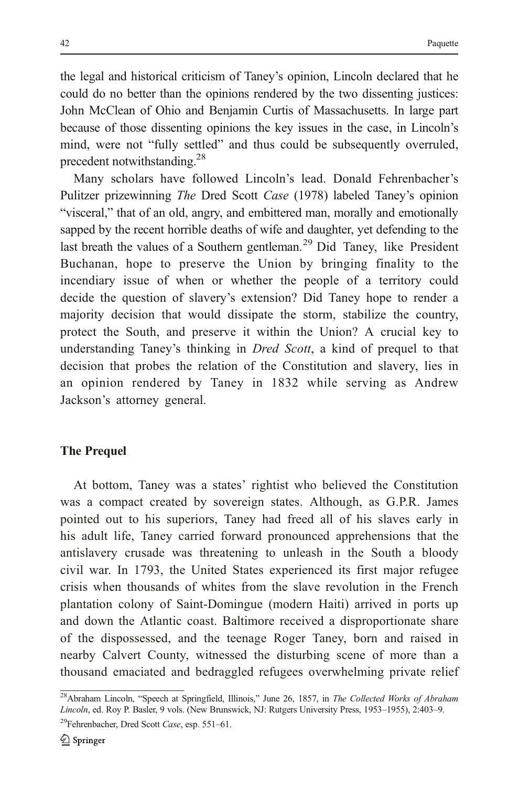the legal and historical criticism of Taney's opinion, Lincoln declared that he could do no better than the opinions rendered by the two dissenting justices: John McClean of Ohio and Benjamin Curtis of Massachusetts. In large part because of those dissenting opinions the key issues in the case, in Lincoln's mind, were not "fully settled" and thus could be subsequently overruled, precedent notwithstanding.<sup>28</sup>

Many scholars have followed Lincoln's lead. Donald Fehrenbacher's Pulitzer prizewinning The Dred Scott Case (1978) labeled Taney's opinion "visceral," that of an old, angry, and embittered man, morally and emotionally sapped by the recent horrible deaths of wife and daughter, yet defending to the last breath the values of a Southern gentleman.<sup>29</sup> Did Taney, like President Buchanan, hope to preserve the Union by bringing finality to the incendiary issue of when or whether the people of a territory could decide the question of slavery's extension? Did Taney hope to render a majority decision that would dissipate the storm, stabilize the country, protect the South, and preserve it within the Union? A crucial key to understanding Taney's thinking in *Dred Scott*, a kind of prequel to that decision that probes the relation of the Constitution and slavery, lies in an opinion rendered by Taney in 1832 while serving as Andrew Jackson's attorney general.

### The Prequel

At bottom, Taney was a states' rightist who believed the Constitution was a compact created by sovereign states. Although, as G.P.R. James pointed out to his superiors, Taney had freed all of his slaves early in his adult life, Taney carried forward pronounced apprehensions that the antislavery crusade was threatening to unleash in the South a bloody civil war. In 1793, the United States experienced its first major refugee crisis when thousands of whites from the slave revolution in the French plantation colony of Saint-Domingue (modern Haiti) arrived in ports up and down the Atlantic coast. Baltimore received a disproportionate share of the dispossessed, and the teenage Roger Taney, born and raised in nearby Calvert County, witnessed the disturbing scene of more than a thousand emaciated and bedraggled refugees overwhelming private relief

<sup>&</sup>lt;sup>28</sup>Abraham Lincoln, "Speech at Springfield, Illinois," June 26, 1857, in The Collected Works of Abraham Lincoln, ed. Roy P. Basler, 9 vols. (New Brunswick, NJ: Rutgers University Press, 1953–1955), 2:403–9.

<sup>&</sup>lt;sup>29</sup>Fehrenbacher, Dred Scott Case, esp. 551-61.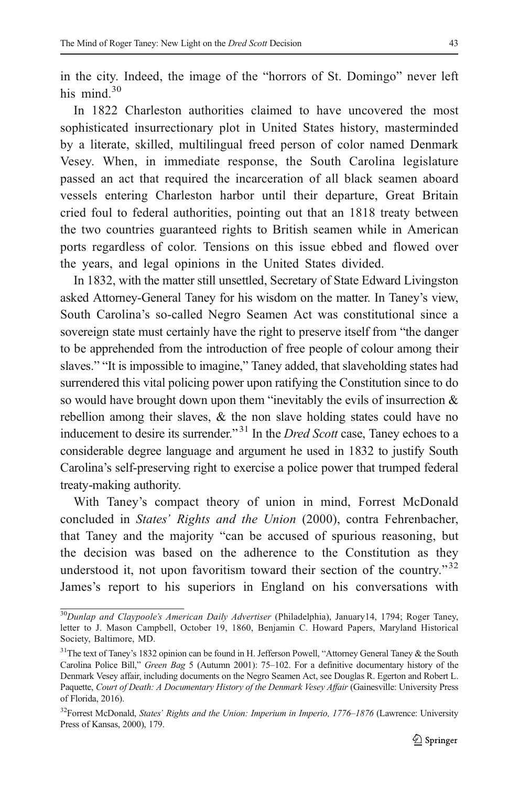in the city. Indeed, the image of the "horrors of St. Domingo" never left his mind  $30$ 

In 1822 Charleston authorities claimed to have uncovered the most sophisticated insurrectionary plot in United States history, masterminded by a literate, skilled, multilingual freed person of color named Denmark Vesey. When, in immediate response, the South Carolina legislature passed an act that required the incarceration of all black seamen aboard vessels entering Charleston harbor until their departure, Great Britain cried foul to federal authorities, pointing out that an 1818 treaty between the two countries guaranteed rights to British seamen while in American ports regardless of color. Tensions on this issue ebbed and flowed over the years, and legal opinions in the United States divided.

In 1832, with the matter still unsettled, Secretary of State Edward Livingston asked Attorney-General Taney for his wisdom on the matter. In Taney's view, South Carolina's so-called Negro Seamen Act was constitutional since a sovereign state must certainly have the right to preserve itself from "the danger to be apprehended from the introduction of free people of colour among their slaves." "It is impossible to imagine," Taney added, that slaveholding states had surrendered this vital policing power upon ratifying the Constitution since to do so would have brought down upon them "inevitably the evils of insurrection & rebellion among their slaves, & the non slave holding states could have no inducement to desire its surrender."<sup>31</sup> In the *Dred Scott* case, Taney echoes to a considerable degree language and argument he used in 1832 to justify South Carolina's self-preserving right to exercise a police power that trumped federal treaty-making authority.

With Taney's compact theory of union in mind, Forrest McDonald concluded in States' Rights and the Union (2000), contra Fehrenbacher, that Taney and the majority "can be accused of spurious reasoning, but the decision was based on the adherence to the Constitution as they understood it, not upon favoritism toward their section of the country."<sup>32</sup> James's report to his superiors in England on his conversations with

<sup>&</sup>lt;sup>30</sup>Dunlap and Claypoole's American Daily Advertiser (Philadelphia), January14, 1794; Roger Taney, letter to J. Mason Campbell, October 19, 1860, Benjamin C. Howard Papers, Maryland Historical Society, Baltimore, MD.

<sup>&</sup>lt;sup>31</sup>The text of Taney's 1832 opinion can be found in H. Jefferson Powell, "Attorney General Taney & the South Carolina Police Bill," Green Bag 5 (Autumn 2001): 75–102. For a definitive documentary history of the Denmark Vesey affair, including documents on the Negro Seamen Act, see Douglas R. Egerton and Robert L. Paquette, Court of Death: A Documentary History of the Denmark Vesey Affair (Gainesville: University Press of Florida, 2016).

<sup>&</sup>lt;sup>32</sup>Forrest McDonald, States' Rights and the Union: Imperium in Imperio, 1776-1876 (Lawrence: University Press of Kansas, 2000), 179.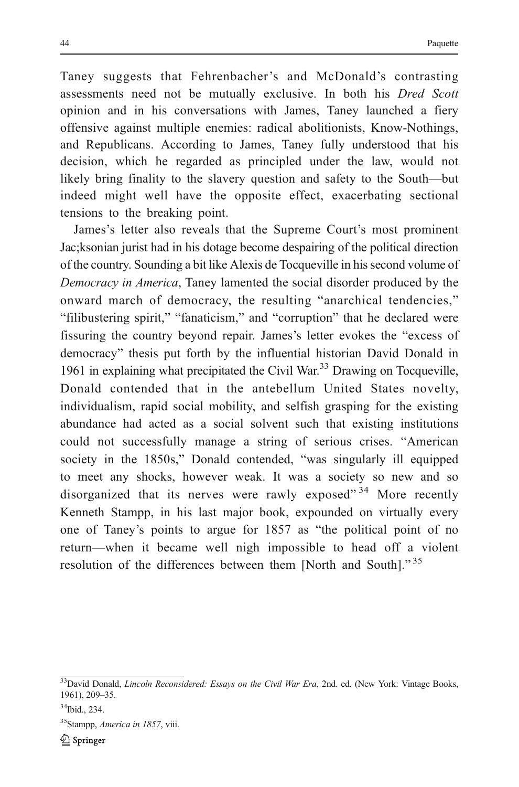Taney suggests that Fehrenbacher's and McDonald's contrasting assessments need not be mutually exclusive. In both his Dred Scott opinion and in his conversations with James, Taney launched a fiery offensive against multiple enemies: radical abolitionists, Know-Nothings, and Republicans. According to James, Taney fully understood that his decision, which he regarded as principled under the law, would not likely bring finality to the slavery question and safety to the South—but indeed might well have the opposite effect, exacerbating sectional tensions to the breaking point.

James's letter also reveals that the Supreme Court's most prominent Jac;ksonian jurist had in his dotage become despairing of the political direction of the country. Sounding a bit like Alexis de Tocqueville in his second volume of Democracy in America, Taney lamented the social disorder produced by the onward march of democracy, the resulting "anarchical tendencies," "filibustering spirit," "fanaticism," and "corruption" that he declared were fissuring the country beyond repair. James's letter evokes the "excess of democracy" thesis put forth by the influential historian David Donald in 1961 in explaining what precipitated the Civil War.<sup>33</sup> Drawing on Tocqueville, Donald contended that in the antebellum United States novelty, individualism, rapid social mobility, and selfish grasping for the existing abundance had acted as a social solvent such that existing institutions could not successfully manage a string of serious crises. "American society in the 1850s," Donald contended, "was singularly ill equipped to meet any shocks, however weak. It was a society so new and so disorganized that its nerves were rawly exposed"<sup>34</sup> More recently Kenneth Stampp, in his last major book, expounded on virtually every one of Taney's points to argue for 1857 as "the political point of no return—when it became well nigh impossible to head off a violent resolution of the differences between them [North and South]."<sup>35</sup>

<sup>&</sup>lt;sup>33</sup>David Donald, Lincoln Reconsidered: Essays on the Civil War Era, 2nd. ed. (New York: Vintage Books, 1961), 209–35.

<sup>34</sup>Ibid., 234.

<sup>&</sup>lt;sup>35</sup>Stampp, *America in 1857*, viii.

<sup>2</sup> Springer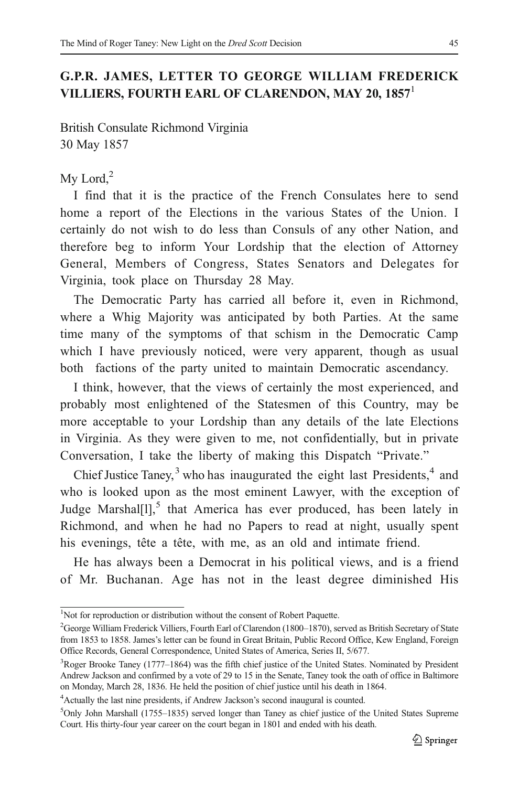## G.P.R. JAMES, LETTER TO GEORGE WILLIAM FREDERICK VILLIERS, FOURTH EARL OF CLARENDON, MAY 20, 1857

British Consulate Richmond Virginia 30 May 1857

My Lord.<sup>2</sup>

I find that it is the practice of the French Consulates here to send home a report of the Elections in the various States of the Union. I certainly do not wish to do less than Consuls of any other Nation, and therefore beg to inform Your Lordship that the election of Attorney General, Members of Congress, States Senators and Delegates for Virginia, took place on Thursday 28 May.

The Democratic Party has carried all before it, even in Richmond, where a Whig Majority was anticipated by both Parties. At the same time many of the symptoms of that schism in the Democratic Camp which I have previously noticed, were very apparent, though as usual both factions of the party united to maintain Democratic ascendancy.

I think, however, that the views of certainly the most experienced, and probably most enlightened of the Statesmen of this Country, may be more acceptable to your Lordship than any details of the late Elections in Virginia. As they were given to me, not confidentially, but in private Conversation, I take the liberty of making this Dispatch "Private."

Chief Justice Taney,<sup>3</sup> who has inaugurated the eight last Presidents,<sup>4</sup> and who is looked upon as the most eminent Lawyer, with the exception of Judge Marshal<sup>[1]</sup>,<sup>5</sup> that America has ever produced, has been lately in Richmond, and when he had no Papers to read at night, usually spent his evenings, tête a tête, with me, as an old and intimate friend.

He has always been a Democrat in his political views, and is a friend of Mr. Buchanan. Age has not in the least degree diminished His

4 Actually the last nine presidents, if Andrew Jackson's second inaugural is counted.

<sup>&</sup>lt;sup>1</sup>Not for reproduction or distribution without the consent of Robert Paquette.

<sup>&</sup>lt;sup>2</sup>George William Frederick Villiers, Fourth Earl of Clarendon (1800-1870), served as British Secretary of State from 1853 to 1858. James's letter can be found in Great Britain, Public Record Office, Kew England, Foreign Office Records, General Correspondence, United States of America, Series II, 5/677.

<sup>&</sup>lt;sup>3</sup>Roger Brooke Taney (1777–1864) was the fifth chief justice of the United States. Nominated by President Andrew Jackson and confirmed by a vote of 29 to 15 in the Senate, Taney took the oath of office in Baltimore on Monday, March 28, 1836. He held the position of chief justice until his death in 1864.

<sup>5</sup> Only John Marshall (1755–1835) served longer than Taney as chief justice of the United States Supreme Court. His thirty-four year career on the court began in 1801 and ended with his death.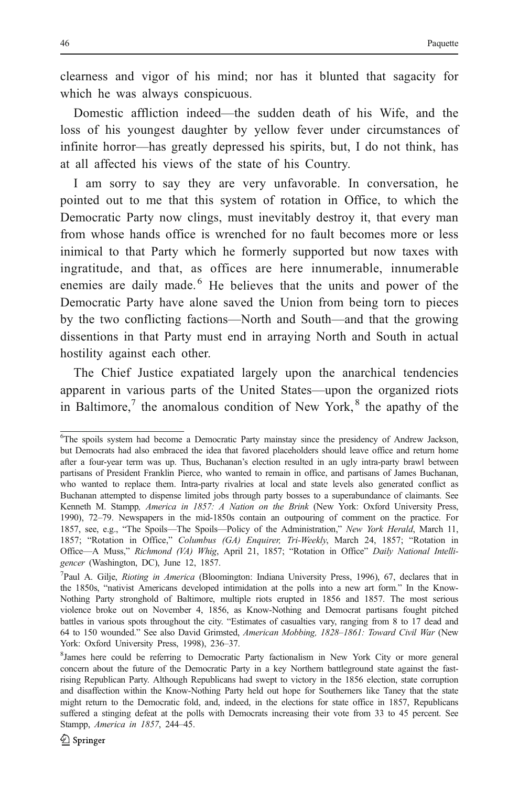clearness and vigor of his mind; nor has it blunted that sagacity for which he was always conspicuous.

Domestic affliction indeed—the sudden death of his Wife, and the loss of his youngest daughter by yellow fever under circumstances of infinite horror—has greatly depressed his spirits, but, I do not think, has at all affected his views of the state of his Country.

I am sorry to say they are very unfavorable. In conversation, he pointed out to me that this system of rotation in Office, to which the Democratic Party now clings, must inevitably destroy it, that every man from whose hands office is wrenched for no fault becomes more or less inimical to that Party which he formerly supported but now taxes with ingratitude, and that, as offices are here innumerable, innumerable enemies are daily made.<sup>6</sup> He believes that the units and power of the Democratic Party have alone saved the Union from being torn to pieces by the two conflicting factions—North and South—and that the growing dissentions in that Party must end in arraying North and South in actual hostility against each other.

The Chief Justice expatiated largely upon the anarchical tendencies apparent in various parts of the United States—upon the organized riots in Baltimore,<sup>7</sup> the anomalous condition of New York,  $\delta$  the apathy of the

<sup>&</sup>lt;sup>6</sup>The spoils system had become a Democratic Party mainstay since the presidency of Andrew Jackson, but Democrats had also embraced the idea that favored placeholders should leave office and return home after a four-year term was up. Thus, Buchanan's election resulted in an ugly intra-party brawl between partisans of President Franklin Pierce, who wanted to remain in office, and partisans of James Buchanan, who wanted to replace them. Intra-party rivalries at local and state levels also generated conflict as Buchanan attempted to dispense limited jobs through party bosses to a superabundance of claimants. See Kenneth M. Stampp, America in 1857: A Nation on the Brink (New York: Oxford University Press, 1990), 72–79. Newspapers in the mid-1850s contain an outpouring of comment on the practice. For 1857, see, e.g., "The Spoils—The Spoils—Policy of the Administration," New York Herald, March 11, 1857; "Rotation in Office," Columbus (GA) Enquirer, Tri-Weekly, March 24, 1857; "Rotation in Office-A Muss," Richmond (VA) Whig, April 21, 1857; "Rotation in Office" Daily National Intelligencer (Washington, DC), June 12, 1857.

<sup>&</sup>lt;sup>7</sup>Paul A. Gilje, Rioting in America (Bloomington: Indiana University Press, 1996), 67, declares that in the 1850s, "nativist Americans developed intimidation at the polls into a new art form." In the Know-Nothing Party stronghold of Baltimore, multiple riots erupted in 1856 and 1857. The most serious violence broke out on November 4, 1856, as Know-Nothing and Democrat partisans fought pitched battles in various spots throughout the city. "Estimates of casualties vary, ranging from 8 to 17 dead and 64 to 150 wounded." See also David Grimsted, American Mobbing, 1828–1861: Toward Civil War (New York: Oxford University Press, 1998), 236–37.

<sup>&</sup>lt;sup>8</sup>James here could be referring to Democratic Party factionalism in New York City or more general concern about the future of the Democratic Party in a key Northern battleground state against the fastrising Republican Party. Although Republicans had swept to victory in the 1856 election, state corruption and disaffection within the Know-Nothing Party held out hope for Southerners like Taney that the state might return to the Democratic fold, and, indeed, in the elections for state office in 1857, Republicans suffered a stinging defeat at the polls with Democrats increasing their vote from 33 to 45 percent. See Stampp, America in 1857, 244–45.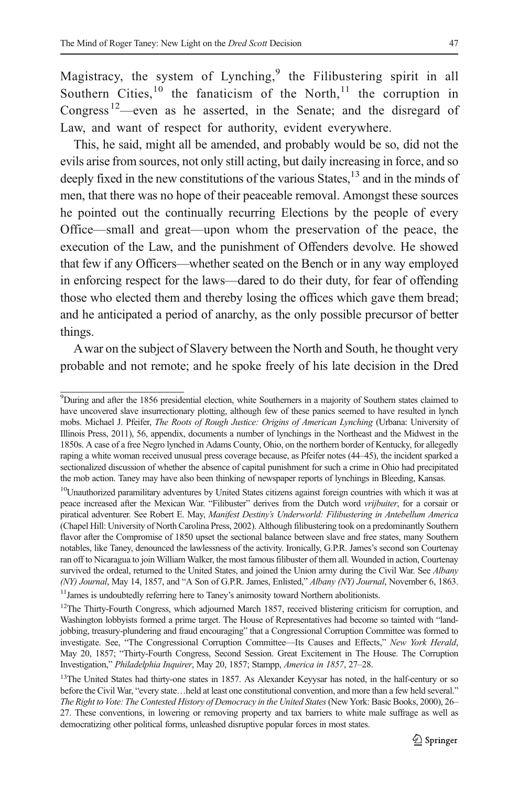Magistracy, the system of Lynching,<sup>9</sup> the Filibustering spirit in all Southern Cities,  $10$  the fanaticism of the North,  $11$  the corruption in Congress<sup>12</sup>—even as he asserted, in the Senate; and the disregard of Law, and want of respect for authority, evident everywhere.

This, he said, might all be amended, and probably would be so, did not the evils arise from sources, not only still acting, but daily increasing in force, and so deeply fixed in the new constitutions of the various States,<sup>13</sup> and in the minds of men, that there was no hope of their peaceable removal. Amongst these sources he pointed out the continually recurring Elections by the people of every Office—small and great—upon whom the preservation of the peace, the execution of the Law, and the punishment of Offenders devolve. He showed that few if any Officers—whether seated on the Bench or in any way employed in enforcing respect for the laws—dared to do their duty, for fear of offending those who elected them and thereby losing the offices which gave them bread; and he anticipated a period of anarchy, as the only possible precursor of better things.

Awar on the subject of Slavery between the North and South, he thought very probable and not remote; and he spoke freely of his late decision in the Dred

<sup>&</sup>lt;sup>9</sup>During and after the 1856 presidential election, white Southerners in a majority of Southern states claimed to have uncovered slave insurrectionary plotting, although few of these panics seemed to have resulted in lynch mobs. Michael J. Pfeifer, The Roots of Rough Justice: Origins of American Lynching (Urbana: University of Illinois Press, 2011), 56, appendix, documents a number of lynchings in the Northeast and the Midwest in the 1850s. A case of a free Negro lynched in Adams County, Ohio, on the northern border of Kentucky, for allegedly raping a white woman received unusual press coverage because, as Pfeifer notes (44–45), the incident sparked a sectionalized discussion of whether the absence of capital punishment for such a crime in Ohio had precipitated the mob action. Taney may have also been thinking of newspaper reports of lynchings in Bleeding, Kansas.

<sup>&</sup>lt;sup>10</sup>Unauthorized paramilitary adventures by United States citizens against foreign countries with which it was at peace increased after the Mexican War. "Filibuster" derives from the Dutch word vrijbuiter, for a corsair or piratical adventurer. See Robert E. May, Manifest Destiny's Underworld: Filibustering in Antebellum America (Chapel Hill: University of North Carolina Press, 2002). Although filibustering took on a predominantly Southern flavor after the Compromise of 1850 upset the sectional balance between slave and free states, many Southern notables, like Taney, denounced the lawlessness of the activity. Ironically, G.P.R. James's second son Courtenay ran off to Nicaragua to join William Walker, the most famous filibuster of them all. Wounded in action, Courtenay survived the ordeal, returned to the United States, and joined the Union army during the Civil War. See Albany (NY) Journal, May 14, 1857, and "A Son of G.P.R. James, Enlisted," Albany (NY) Journal, November 6, 1863. <sup>11</sup> James is undoubtedly referring here to Taney's animosity toward Northern abolitionists.

<sup>&</sup>lt;sup>12</sup>The Thirty-Fourth Congress, which adjourned March 1857, received blistering criticism for corruption, and Washington lobbyists formed a prime target. The House of Representatives had become so tainted with "landjobbing, treasury-plundering and fraud encouraging" that a Congressional Corruption Committee was formed to investigate. See, "The Congressional Corruption Committee—Its Causes and Effects," New York Herald, May 20, 1857; "Thirty-Fourth Congress, Second Session. Great Excitement in The House. The Corruption Investigation," Philadelphia Inquirer, May 20, 1857; Stampp, America in 1857, 27–28.

<sup>&</sup>lt;sup>13</sup>The United States had thirty-one states in 1857. As Alexander Keyysar has noted, in the half-century or so before the Civil War, "every state...held at least one constitutional convention, and more than a few held several." The Right to Vote: The Contested History of Democracy in the United States (New York: Basic Books, 2000), 26-27. These conventions, in lowering or removing property and tax barriers to white male suffrage as well as democratizing other political forms, unleashed disruptive popular forces in most states.